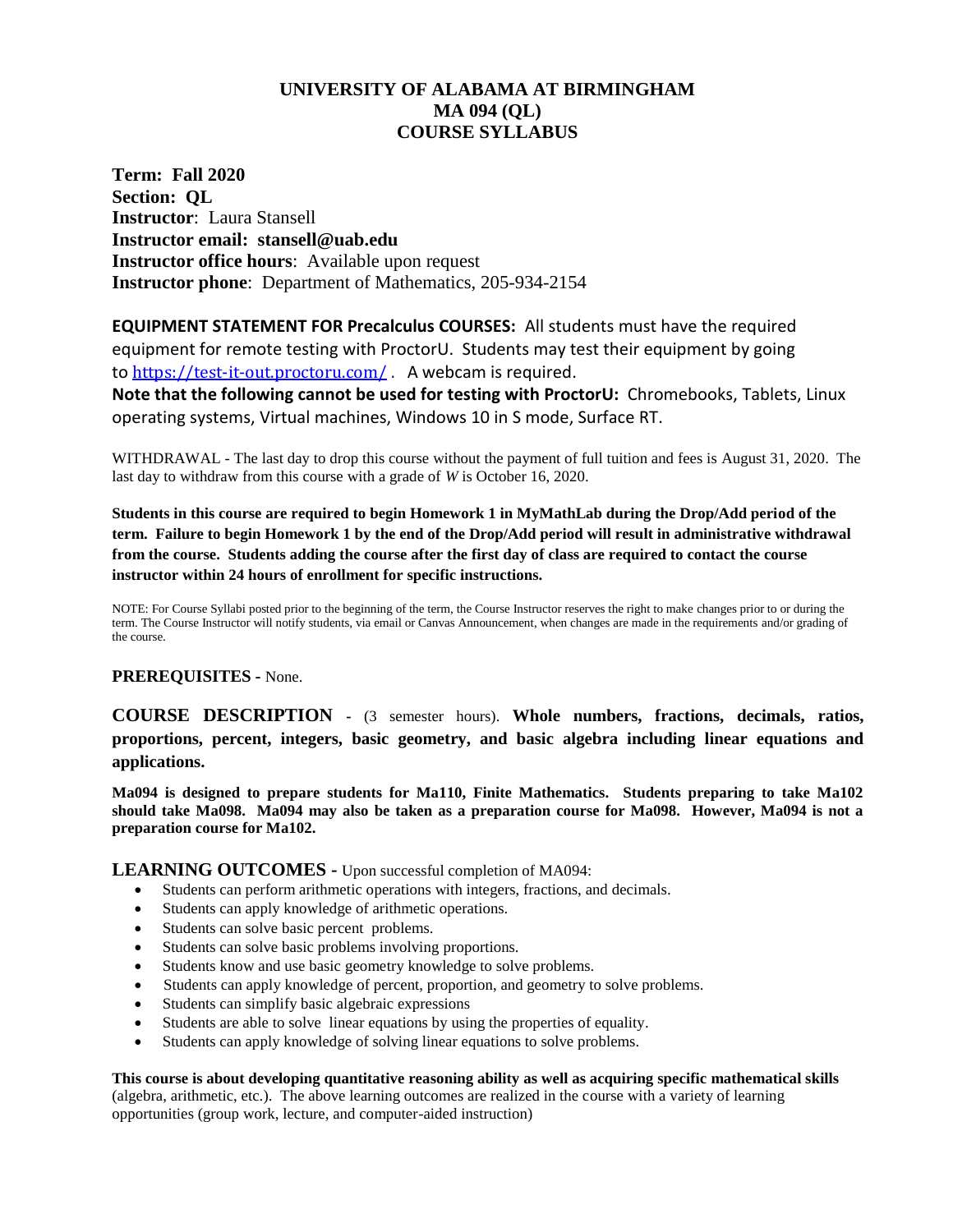# **UNIVERSITY OF ALABAMA AT BIRMINGHAM MA 094 (QL) COURSE SYLLABUS**

**Term: Fall 2020 Section: QL Instructor**: Laura Stansell **Instructor email: stansell@uab.edu Instructor office hours**: Available upon request **Instructor phone**: Department of Mathematics, 205-934-2154

**EQUIPMENT STATEMENT FOR Precalculus COURSES:** All students must have the required equipment for remote testing with ProctorU. Students may test their equipment by going to <https://test-it-out.proctoru.com/> . A webcam is required.

**Note that the following cannot be used for testing with ProctorU:** Chromebooks, Tablets, Linux operating systems, Virtual machines, Windows 10 in S mode, Surface RT.

WITHDRAWAL - The last day to drop this course without the payment of full tuition and fees is August 31, 2020. The last day to withdraw from this course with a grade of *W* is October 16, 2020.

**Students in this course are required to begin Homework 1 in MyMathLab during the Drop/Add period of the term. Failure to begin Homework 1 by the end of the Drop/Add period will result in administrative withdrawal from the course. Students adding the course after the first day of class are required to contact the course instructor within 24 hours of enrollment for specific instructions.**

NOTE: For Course Syllabi posted prior to the beginning of the term, the Course Instructor reserves the right to make changes prior to or during the term. The Course Instructor will notify students, via email or Canvas Announcement, when changes are made in the requirements and/or grading of the course.

## **PREREQUISITES -** None.

**COURSE DESCRIPTION -** (3 semester hours). **Whole numbers, fractions, decimals, ratios, proportions, percent, integers, basic geometry, and basic algebra including linear equations and applications.** 

**Ma094 is designed to prepare students for Ma110, Finite Mathematics. Students preparing to take Ma102 should take Ma098. Ma094 may also be taken as a preparation course for Ma098. However, Ma094 is not a preparation course for Ma102.**

**LEARNING OUTCOMES -** Upon successful completion of MA094:

- Students can perform arithmetic operations with integers, fractions, and decimals.
- Students can apply knowledge of arithmetic operations.
- Students can solve basic percent problems.
- Students can solve basic problems involving proportions.
- Students know and use basic geometry knowledge to solve problems.
- Students can apply knowledge of percent, proportion, and geometry to solve problems.
- Students can simplify basic algebraic expressions
- Students are able to solve linear equations by using the properties of equality.
- Students can apply knowledge of solving linear equations to solve problems.

**This course is about developing quantitative reasoning ability as well as acquiring specific mathematical skills** (algebra, arithmetic, etc.). The above learning outcomes are realized in the course with a variety of learning opportunities (group work, lecture, and computer-aided instruction)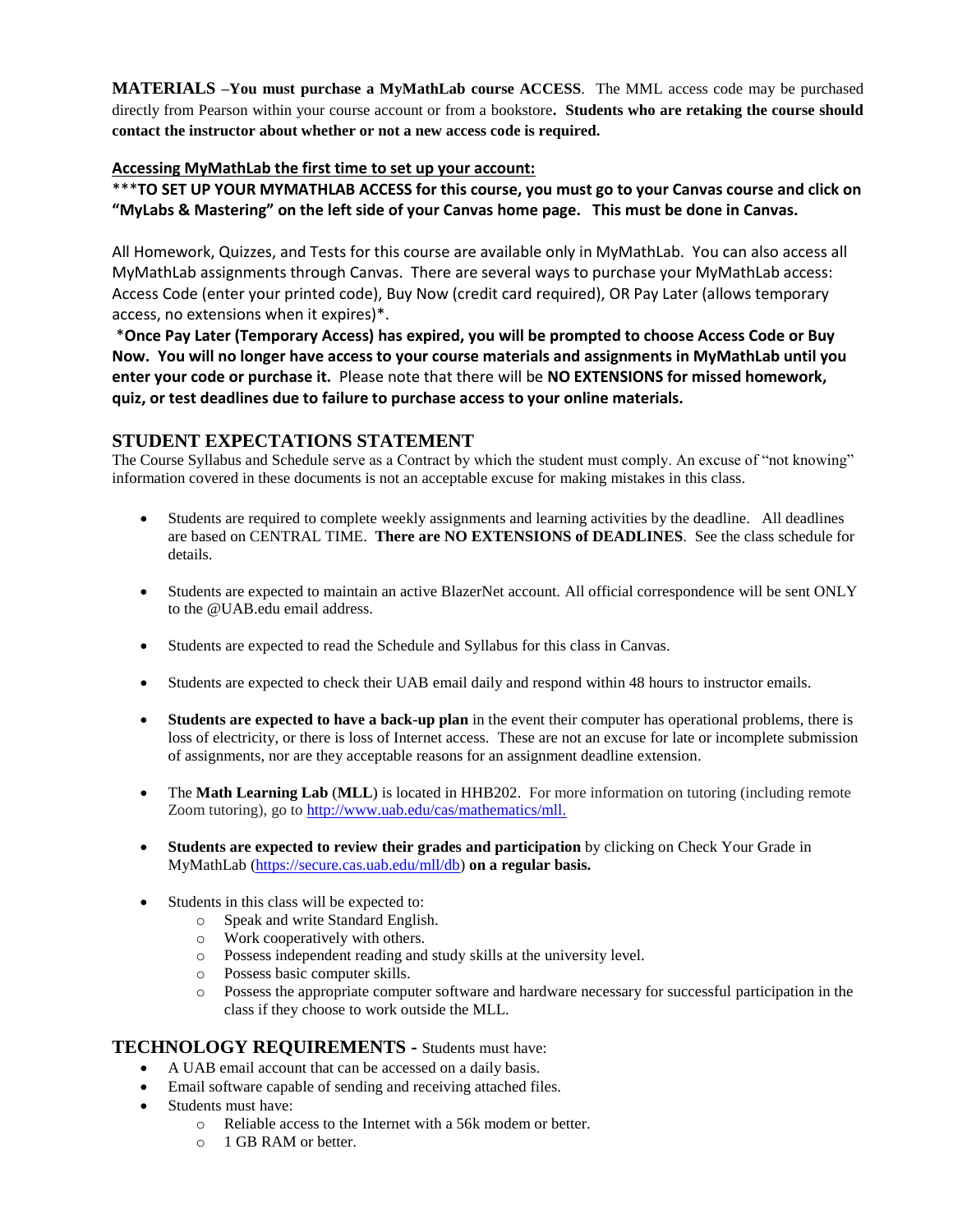**MATERIALS –You must purchase a MyMathLab course ACCESS**. The MML access code may be purchased directly from Pearson within your course account or from a bookstore**. Students who are retaking the course should contact the instructor about whether or not a new access code is required.** 

## **Accessing MyMathLab the first time to set up your account:**

\*\*\***TO SET UP YOUR MYMATHLAB ACCESS for this course, you must go to your Canvas course and click on "MyLabs & Mastering" on the left side of your Canvas home page. This must be done in Canvas.** 

All Homework, Quizzes, and Tests for this course are available only in MyMathLab. You can also access all MyMathLab assignments through Canvas. There are several ways to purchase your MyMathLab access: Access Code (enter your printed code), Buy Now (credit card required), OR Pay Later (allows temporary access, no extensions when it expires)\*.

\***Once Pay Later (Temporary Access) has expired, you will be prompted to choose Access Code or Buy Now. You will no longer have access to your course materials and assignments in MyMathLab until you enter your code or purchase it.** Please note that there will be **NO EXTENSIONS for missed homework, quiz, or test deadlines due to failure to purchase access to your online materials.**

## **STUDENT EXPECTATIONS STATEMENT**

The Course Syllabus and Schedule serve as a Contract by which the student must comply. An excuse of "not knowing" information covered in these documents is not an acceptable excuse for making mistakes in this class.

- Students are required to complete weekly assignments and learning activities by the deadline. All deadlines are based on CENTRAL TIME. **There are NO EXTENSIONS of DEADLINES**. See the class schedule for details.
- Students are expected to maintain an active BlazerNet account. All official correspondence will be sent ONLY to the @UAB.edu email address.
- Students are expected to read the Schedule and Syllabus for this class in Canvas.
- Students are expected to check their UAB email daily and respond within 48 hours to instructor emails.
- **Students are expected to have a back-up plan** in the event their computer has operational problems, there is loss of electricity, or there is loss of Internet access. These are not an excuse for late or incomplete submission of assignments, nor are they acceptable reasons for an assignment deadline extension.
- The **Math Learning Lab** (**MLL**) is located in HHB202. For more information on tutoring (including remote Zoom tutoring), go to [http://www.uab.edu/cas/mathematics/mll.](http://www.uab.edu/cas/mathematics/mll)
- **Students are expected to review their grades and participation** by clicking on Check Your Grade in MyMathLab [\(https://secure.cas.uab.edu/mll/db\)](https://secure.cas.uab.edu/mll/db) **on a regular basis.**
- Students in this class will be expected to:
	- o Speak and write Standard English.
	- o Work cooperatively with others.
	- o Possess independent reading and study skills at the university level.
	- o Possess basic computer skills.
	- o Possess the appropriate computer software and hardware necessary for successful participation in the class if they choose to work outside the MLL.

### **TECHNOLOGY REQUIREMENTS -** Students must have:

- A UAB email account that can be accessed on a daily basis.
- Email software capable of sending and receiving attached files.
- Students must have:
	- o Reliable access to the Internet with a 56k modem or better.
		- o 1 GB RAM or better.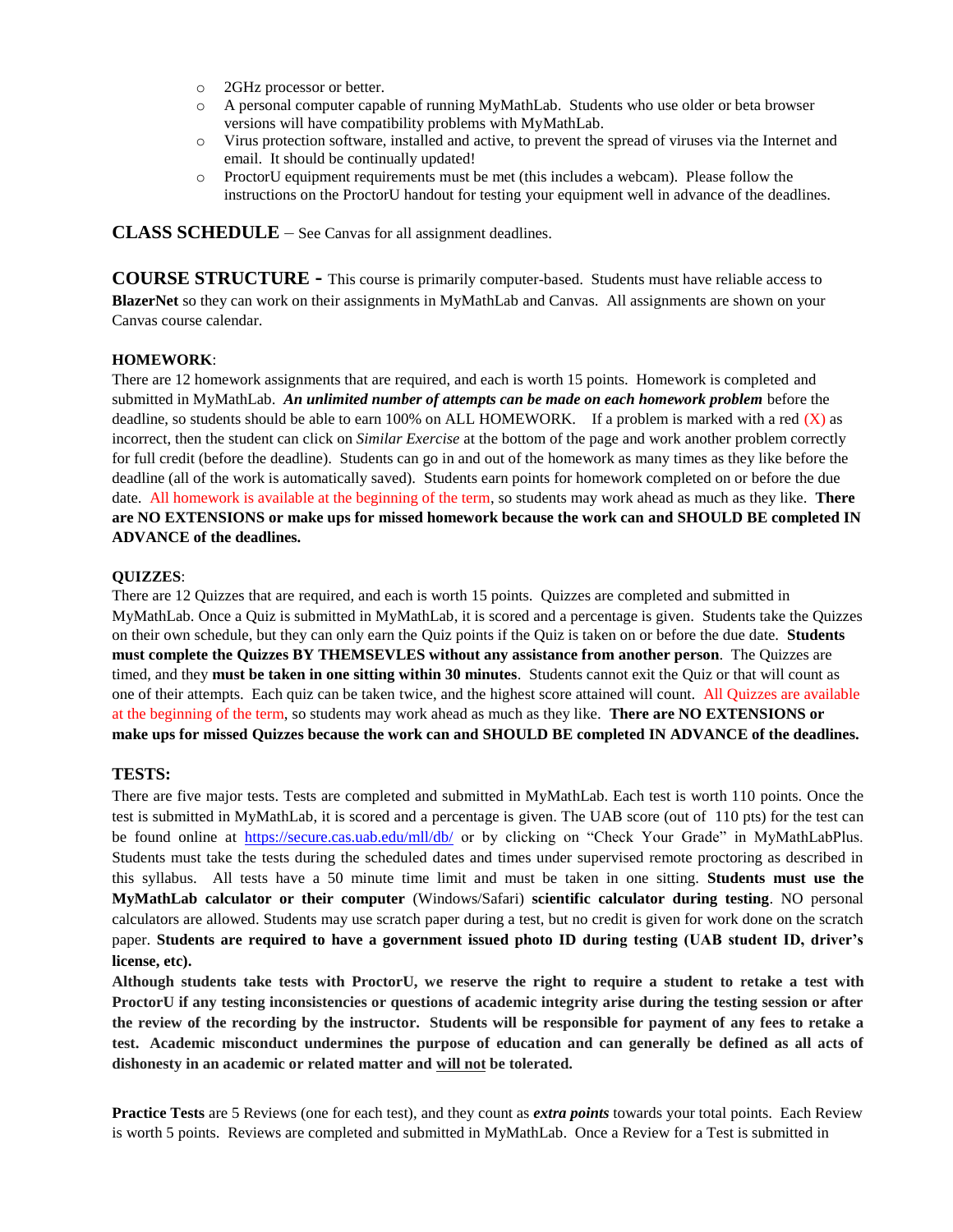- o 2GHz processor or better.
- o A personal computer capable of running MyMathLab. Students who use older or beta browser versions will have compatibility problems with MyMathLab.
- o Virus protection software, installed and active, to prevent the spread of viruses via the Internet and email. It should be continually updated!
- o ProctorU equipment requirements must be met (this includes a webcam). Please follow the instructions on the ProctorU handout for testing your equipment well in advance of the deadlines.

**CLASS SCHEDULE** – See Canvas for all assignment deadlines.

**COURSE STRUCTURE -** This course is primarily computer-based. Students must have reliable access to **BlazerNet** so they can work on their assignments in MyMathLab and Canvas. All assignments are shown on your Canvas course calendar.

#### **HOMEWORK**:

There are 12 homework assignments that are required, and each is worth 15 points. Homework is completed and submitted in MyMathLab. *An unlimited number of attempts can be made on each homework problem* before the deadline, so students should be able to earn 100% on ALL HOMEWORK. If a problem is marked with a red  $(X)$  as incorrect, then the student can click on *Similar Exercise* at the bottom of the page and work another problem correctly for full credit (before the deadline). Students can go in and out of the homework as many times as they like before the deadline (all of the work is automatically saved). Students earn points for homework completed on or before the due date. All homework is available at the beginning of the term, so students may work ahead as much as they like. **There are NO EXTENSIONS or make ups for missed homework because the work can and SHOULD BE completed IN ADVANCE of the deadlines.**

#### **QUIZZES**:

There are 12 Quizzes that are required, and each is worth 15 points. Quizzes are completed and submitted in MyMathLab. Once a Quiz is submitted in MyMathLab, it is scored and a percentage is given. Students take the Quizzes on their own schedule, but they can only earn the Quiz points if the Quiz is taken on or before the due date. **Students must complete the Quizzes BY THEMSEVLES without any assistance from another person**. The Quizzes are timed, and they **must be taken in one sitting within 30 minutes**. Students cannot exit the Quiz or that will count as one of their attempts. Each quiz can be taken twice, and the highest score attained will count. All Quizzes are available at the beginning of the term, so students may work ahead as much as they like. **There are NO EXTENSIONS or make ups for missed Quizzes because the work can and SHOULD BE completed IN ADVANCE of the deadlines.**

### **TESTS:**

There are five major tests. Tests are completed and submitted in MyMathLab. Each test is worth 110 points. Once the test is submitted in MyMathLab, it is scored and a percentage is given. The UAB score (out of 110 pts) for the test can be found online at <https://secure.cas.uab.edu/mll/db/> or by clicking on "Check Your Grade" in MyMathLabPlus. Students must take the tests during the scheduled dates and times under supervised remote proctoring as described in this syllabus. All tests have a 50 minute time limit and must be taken in one sitting. **Students must use the MyMathLab calculator or their computer** (Windows/Safari) **scientific calculator during testing**. NO personal calculators are allowed. Students may use scratch paper during a test, but no credit is given for work done on the scratch paper. **Students are required to have a government issued photo ID during testing (UAB student ID, driver's license, etc).**

**Although students take tests with ProctorU, we reserve the right to require a student to retake a test with ProctorU if any testing inconsistencies or questions of academic integrity arise during the testing session or after the review of the recording by the instructor. Students will be responsible for payment of any fees to retake a test. Academic misconduct undermines the purpose of education and can generally be defined as all acts of dishonesty in an academic or related matter and will not be tolerated.**

**Practice Tests** are 5 Reviews (one for each test), and they count as *extra points* towards your total points. Each Review is worth 5 points. Reviews are completed and submitted in MyMathLab. Once a Review for a Test is submitted in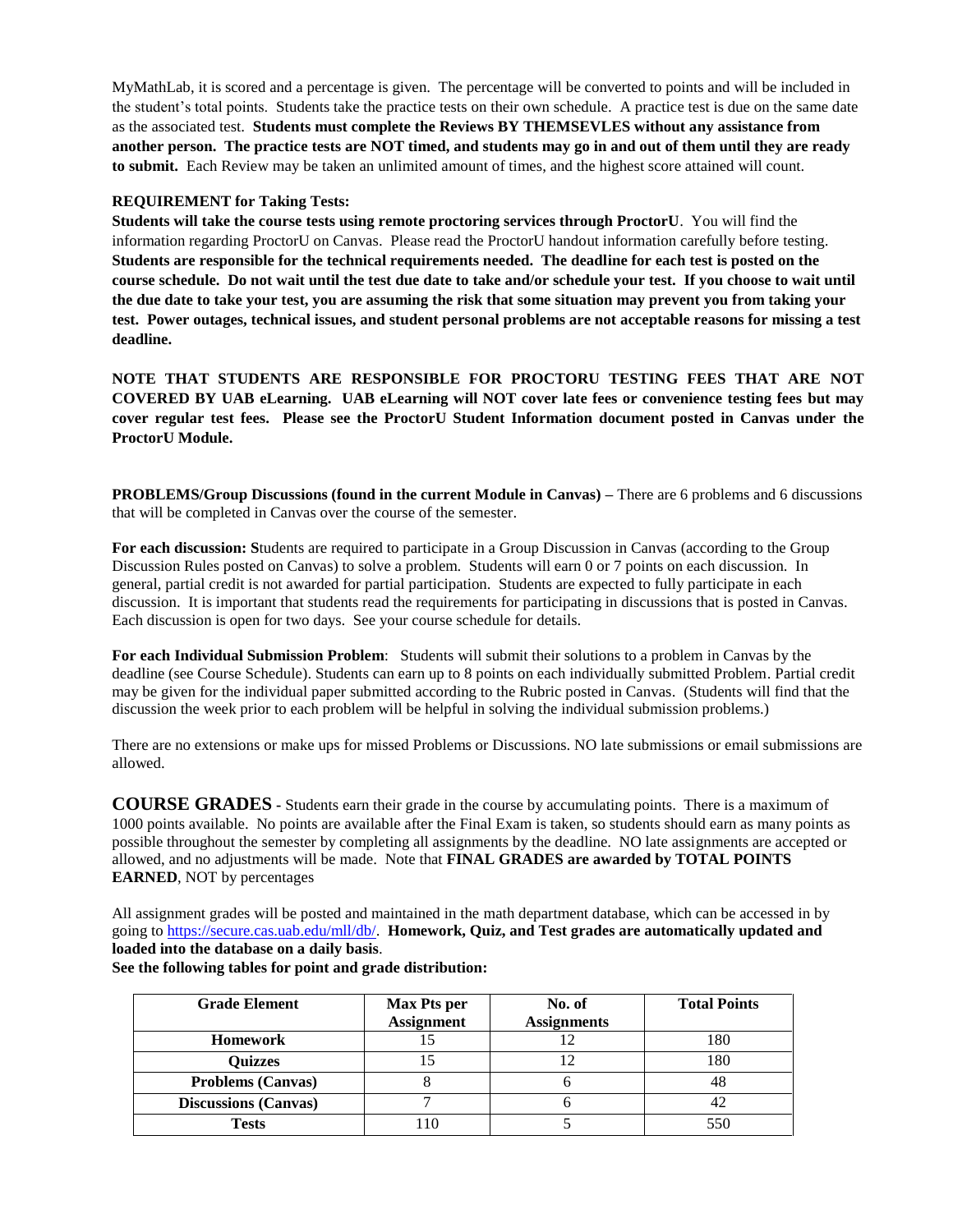MyMathLab, it is scored and a percentage is given. The percentage will be converted to points and will be included in the student's total points. Students take the practice tests on their own schedule. A practice test is due on the same date as the associated test. **Students must complete the Reviews BY THEMSEVLES without any assistance from another person. The practice tests are NOT timed, and students may go in and out of them until they are ready to submit.** Each Review may be taken an unlimited amount of times, and the highest score attained will count.

#### **REQUIREMENT for Taking Tests:**

**Students will take the course tests using remote proctoring services through ProctorU**. You will find the information regarding ProctorU on Canvas. Please read the ProctorU handout information carefully before testing. **Students are responsible for the technical requirements needed. The deadline for each test is posted on the course schedule. Do not wait until the test due date to take and/or schedule your test. If you choose to wait until the due date to take your test, you are assuming the risk that some situation may prevent you from taking your test. Power outages, technical issues, and student personal problems are not acceptable reasons for missing a test deadline.**

**NOTE THAT STUDENTS ARE RESPONSIBLE FOR PROCTORU TESTING FEES THAT ARE NOT COVERED BY UAB eLearning. UAB eLearning will NOT cover late fees or convenience testing fees but may cover regular test fees. Please see the ProctorU Student Information document posted in Canvas under the ProctorU Module.**

**PROBLEMS/Group Discussions (found in the current Module in Canvas) –** There are 6 problems and 6 discussions that will be completed in Canvas over the course of the semester.

**For each discussion: S**tudents are required to participate in a Group Discussion in Canvas (according to the Group Discussion Rules posted on Canvas) to solve a problem. Students will earn 0 or 7 points on each discussion. In general, partial credit is not awarded for partial participation. Students are expected to fully participate in each discussion. It is important that students read the requirements for participating in discussions that is posted in Canvas. Each discussion is open for two days. See your course schedule for details.

**For each Individual Submission Problem**: Students will submit their solutions to a problem in Canvas by the deadline (see Course Schedule). Students can earn up to 8 points on each individually submitted Problem. Partial credit may be given for the individual paper submitted according to the Rubric posted in Canvas. (Students will find that the discussion the week prior to each problem will be helpful in solving the individual submission problems.)

There are no extensions or make ups for missed Problems or Discussions. NO late submissions or email submissions are allowed.

**COURSE GRADES -** Students earn their grade in the course by accumulating points. There is a maximum of 1000 points available. No points are available after the Final Exam is taken, so students should earn as many points as possible throughout the semester by completing all assignments by the deadline. NO late assignments are accepted or allowed, and no adjustments will be made. Note that **FINAL GRADES are awarded by TOTAL POINTS EARNED**, NOT by percentages

All assignment grades will be posted and maintained in the math department database, which can be accessed in by going to [https://secure.cas.uab.edu/mll/db/.](https://secure.cas.uab.edu/mll/db/) **Homework, Quiz, and Test grades are automatically updated and loaded into the database on a daily basis**.

| <b>Grade Element</b>        | Max Pts per       | No. of             | <b>Total Points</b> |
|-----------------------------|-------------------|--------------------|---------------------|
|                             | <b>Assignment</b> | <b>Assignments</b> |                     |
| Homework                    |                   |                    | 180                 |
| <b>Quizzes</b>              |                   |                    | 180                 |
| <b>Problems (Canvas)</b>    |                   |                    | 48                  |
| <b>Discussions (Canvas)</b> |                   |                    | 42                  |
| <b>Tests</b>                |                   |                    | 550                 |

**See the following tables for point and grade distribution:**